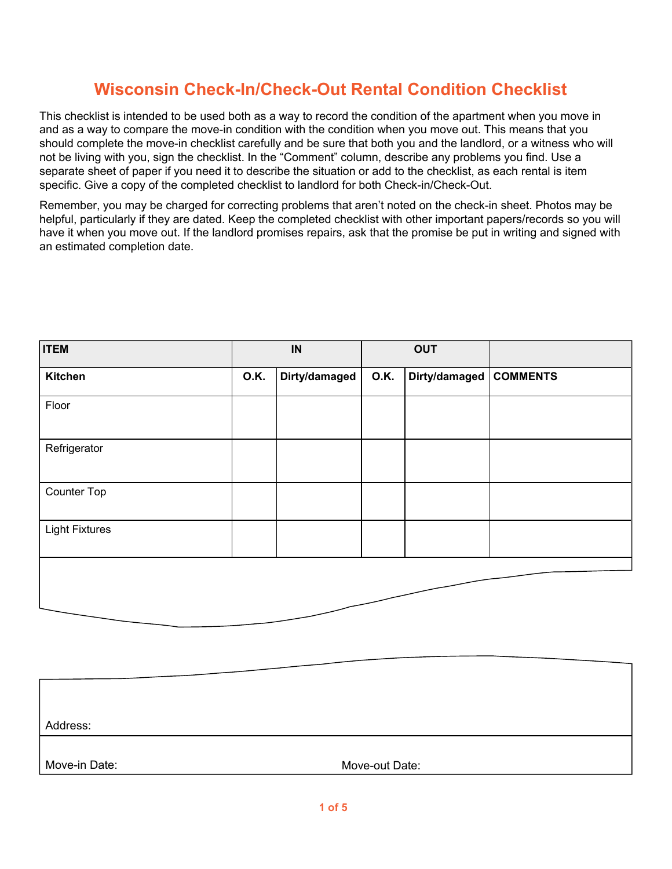This checklist is intended to be used both as a way to record the condition of the apartment when you move in and as a way to compare the move-in condition with the condition when you move out. This means that you should complete the move-in checklist carefully and be sure that both you and the landlord, or a witness who will not be living with you, sign the checklist. In the "Comment" column, describe any problems you find. Use a separate sheet of paper if you need it to describe the situation or add to the checklist, as each rental is item specific. Give a copy of the completed checklist to landlord for both Check-in/Check-Out.

Remember, you may be charged for correcting problems that aren't noted on the check-in sheet. Photos may be helpful, particularly if they are dated. Keep the completed checklist with other important papers/records so you will have it when you move out. If the landlord promises repairs, ask that the promise be put in writing and signed with an estimated completion date.

| <b>ITEM</b>           | $\sf IN$    |               | <b>OUT</b>  |                        |  |
|-----------------------|-------------|---------------|-------------|------------------------|--|
| Kitchen               | <b>O.K.</b> | Dirty/damaged | <b>O.K.</b> | Dirty/damaged COMMENTS |  |
| Floor                 |             |               |             |                        |  |
| Refrigerator          |             |               |             |                        |  |
| Counter Top           |             |               |             |                        |  |
| <b>Light Fixtures</b> |             |               |             |                        |  |
|                       |             |               |             |                        |  |

| Address:      |                |  |
|---------------|----------------|--|
| Move-in Date: | Move-out Date: |  |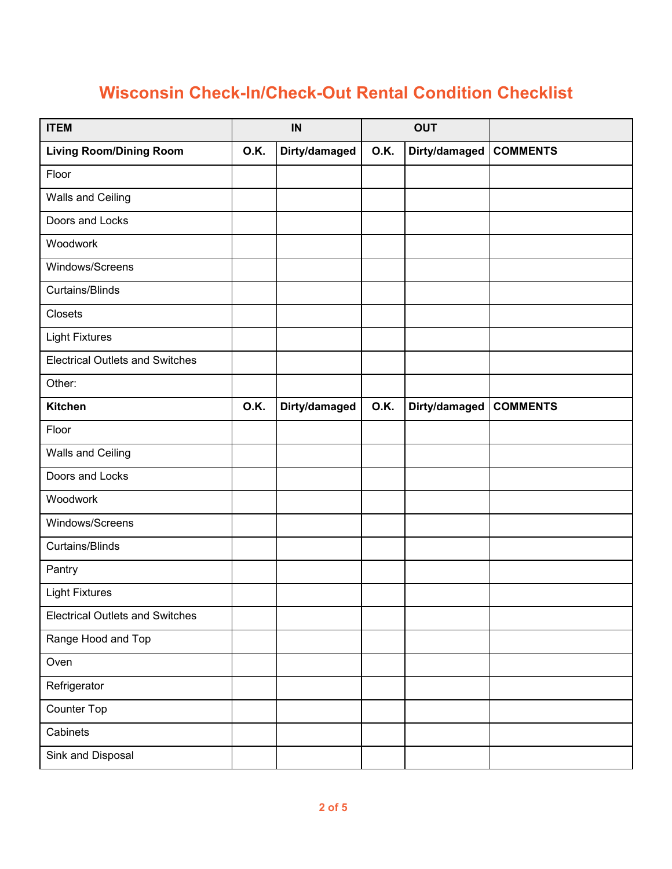| <b>ITEM</b>                            | IN          |               | <b>OUT</b> |                        |                 |
|----------------------------------------|-------------|---------------|------------|------------------------|-----------------|
| <b>Living Room/Dining Room</b>         | <b>O.K.</b> | Dirty/damaged | 0.K.       | Dirty/damaged COMMENTS |                 |
| Floor                                  |             |               |            |                        |                 |
| <b>Walls and Ceiling</b>               |             |               |            |                        |                 |
| Doors and Locks                        |             |               |            |                        |                 |
| Woodwork                               |             |               |            |                        |                 |
| Windows/Screens                        |             |               |            |                        |                 |
| <b>Curtains/Blinds</b>                 |             |               |            |                        |                 |
| Closets                                |             |               |            |                        |                 |
| <b>Light Fixtures</b>                  |             |               |            |                        |                 |
| <b>Electrical Outlets and Switches</b> |             |               |            |                        |                 |
| Other:                                 |             |               |            |                        |                 |
| <b>Kitchen</b>                         | 0.K.        | Dirty/damaged | 0.K.       | Dirty/damaged          | <b>COMMENTS</b> |
| Floor                                  |             |               |            |                        |                 |
| Walls and Ceiling                      |             |               |            |                        |                 |
| Doors and Locks                        |             |               |            |                        |                 |
| Woodwork                               |             |               |            |                        |                 |
| Windows/Screens                        |             |               |            |                        |                 |
| <b>Curtains/Blinds</b>                 |             |               |            |                        |                 |
| Pantry                                 |             |               |            |                        |                 |
| <b>Light Fixtures</b>                  |             |               |            |                        |                 |
| <b>Electrical Outlets and Switches</b> |             |               |            |                        |                 |
| Range Hood and Top                     |             |               |            |                        |                 |
| Oven                                   |             |               |            |                        |                 |
| Refrigerator                           |             |               |            |                        |                 |
| Counter Top                            |             |               |            |                        |                 |
| Cabinets                               |             |               |            |                        |                 |
| Sink and Disposal                      |             |               |            |                        |                 |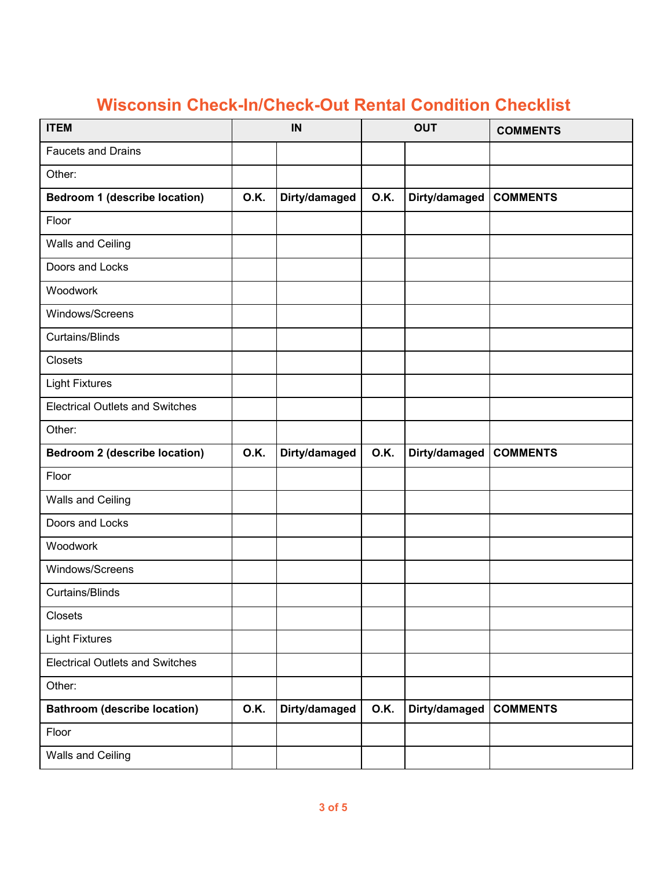| <b>ITEM</b>                            | IN          |               | <b>OUT</b>  |                        | <b>COMMENTS</b> |
|----------------------------------------|-------------|---------------|-------------|------------------------|-----------------|
| <b>Faucets and Drains</b>              |             |               |             |                        |                 |
| Other:                                 |             |               |             |                        |                 |
| Bedroom 1 (describe location)          | <b>O.K.</b> | Dirty/damaged | <b>O.K.</b> | Dirty/damaged          | <b>COMMENTS</b> |
| Floor                                  |             |               |             |                        |                 |
| Walls and Ceiling                      |             |               |             |                        |                 |
| Doors and Locks                        |             |               |             |                        |                 |
| Woodwork                               |             |               |             |                        |                 |
| Windows/Screens                        |             |               |             |                        |                 |
| <b>Curtains/Blinds</b>                 |             |               |             |                        |                 |
| Closets                                |             |               |             |                        |                 |
| <b>Light Fixtures</b>                  |             |               |             |                        |                 |
| <b>Electrical Outlets and Switches</b> |             |               |             |                        |                 |
| Other:                                 |             |               |             |                        |                 |
| <b>Bedroom 2 (describe location)</b>   | <b>O.K.</b> | Dirty/damaged | <b>O.K.</b> | Dirty/damaged          | <b>COMMENTS</b> |
| Floor                                  |             |               |             |                        |                 |
| Walls and Ceiling                      |             |               |             |                        |                 |
| Doors and Locks                        |             |               |             |                        |                 |
| Woodwork                               |             |               |             |                        |                 |
| Windows/Screens                        |             |               |             |                        |                 |
| <b>Curtains/Blinds</b>                 |             |               |             |                        |                 |
| Closets                                |             |               |             |                        |                 |
| <b>Light Fixtures</b>                  |             |               |             |                        |                 |
| <b>Electrical Outlets and Switches</b> |             |               |             |                        |                 |
| Other:                                 |             |               |             |                        |                 |
| <b>Bathroom (describe location)</b>    | 0.K.        | Dirty/damaged | 0.K.        | Dirty/damaged COMMENTS |                 |
| Floor                                  |             |               |             |                        |                 |
| Walls and Ceiling                      |             |               |             |                        |                 |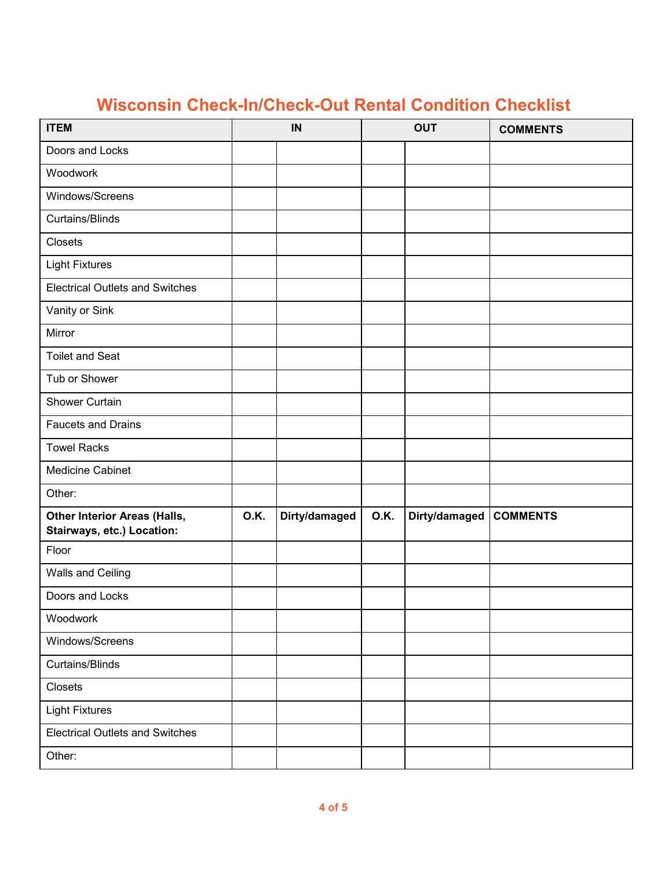| <b>ITEM</b>                                                       |      | IN            |             | <b>OUT</b>    | <b>COMMENTS</b> |
|-------------------------------------------------------------------|------|---------------|-------------|---------------|-----------------|
| Doors and Locks                                                   |      |               |             |               |                 |
| Woodwork                                                          |      |               |             |               |                 |
| Windows/Screens                                                   |      |               |             |               |                 |
| <b>Curtains/Blinds</b>                                            |      |               |             |               |                 |
| Closets                                                           |      |               |             |               |                 |
| <b>Light Fixtures</b>                                             |      |               |             |               |                 |
| <b>Electrical Outlets and Switches</b>                            |      |               |             |               |                 |
| Vanity or Sink                                                    |      |               |             |               |                 |
| Mirror                                                            |      |               |             |               |                 |
| <b>Toilet and Seat</b>                                            |      |               |             |               |                 |
| Tub or Shower                                                     |      |               |             |               |                 |
| <b>Shower Curtain</b>                                             |      |               |             |               |                 |
| <b>Faucets and Drains</b>                                         |      |               |             |               |                 |
| <b>Towel Racks</b>                                                |      |               |             |               |                 |
| Medicine Cabinet                                                  |      |               |             |               |                 |
| Other:                                                            |      |               |             |               |                 |
| <b>Other Interior Areas (Halls,</b><br>Stairways, etc.) Location: | 0.K. | Dirty/damaged | <b>O.K.</b> | Dirty/damaged | <b>COMMENTS</b> |
| Floor                                                             |      |               |             |               |                 |
| Walls and Ceiling                                                 |      |               |             |               |                 |
| Doors and Locks                                                   |      |               |             |               |                 |
| Woodwork                                                          |      |               |             |               |                 |
| Windows/Screens                                                   |      |               |             |               |                 |
| Curtains/Blinds                                                   |      |               |             |               |                 |
| Closets                                                           |      |               |             |               |                 |
| <b>Light Fixtures</b>                                             |      |               |             |               |                 |
| <b>Electrical Outlets and Switches</b>                            |      |               |             |               |                 |
| Other:                                                            |      |               |             |               |                 |